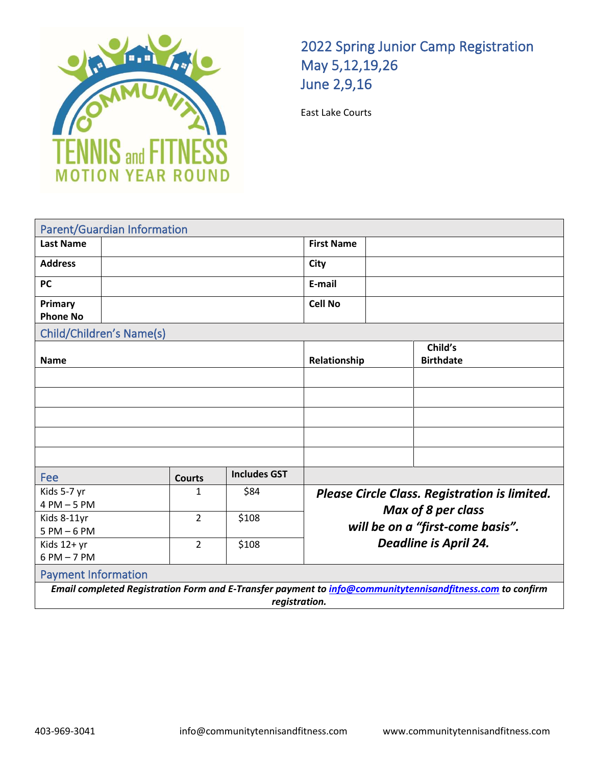

## 2022 Spring Junior Camp Registration May 5,12,19,26 June 2,9,16

East Lake Courts

| <b>Parent/Guardian Information</b>                                                                        |  |                |                     |                                                                                                                                                |  |                             |  |  |  |
|-----------------------------------------------------------------------------------------------------------|--|----------------|---------------------|------------------------------------------------------------------------------------------------------------------------------------------------|--|-----------------------------|--|--|--|
| <b>Last Name</b>                                                                                          |  |                |                     | <b>First Name</b>                                                                                                                              |  |                             |  |  |  |
| <b>Address</b>                                                                                            |  |                |                     | City                                                                                                                                           |  |                             |  |  |  |
| <b>PC</b>                                                                                                 |  |                |                     | E-mail                                                                                                                                         |  |                             |  |  |  |
| Primary<br><b>Phone No</b>                                                                                |  |                |                     | <b>Cell No</b>                                                                                                                                 |  |                             |  |  |  |
| Child/Children's Name(s)                                                                                  |  |                |                     |                                                                                                                                                |  |                             |  |  |  |
| <b>Name</b>                                                                                               |  |                | Relationship        |                                                                                                                                                |  | Child's<br><b>Birthdate</b> |  |  |  |
|                                                                                                           |  |                |                     |                                                                                                                                                |  |                             |  |  |  |
|                                                                                                           |  |                |                     |                                                                                                                                                |  |                             |  |  |  |
|                                                                                                           |  |                |                     |                                                                                                                                                |  |                             |  |  |  |
|                                                                                                           |  |                |                     |                                                                                                                                                |  |                             |  |  |  |
|                                                                                                           |  |                |                     |                                                                                                                                                |  |                             |  |  |  |
| Fee                                                                                                       |  | <b>Courts</b>  | <b>Includes GST</b> |                                                                                                                                                |  |                             |  |  |  |
| Kids 5-7 yr                                                                                               |  | $\mathbf{1}$   | \$84                | <b>Please Circle Class. Registration is limited.</b><br>Max of 8 per class<br>will be on a "first-come basis".<br><b>Deadline is April 24.</b> |  |                             |  |  |  |
| $4 PM - 5 PM$                                                                                             |  |                |                     |                                                                                                                                                |  |                             |  |  |  |
| Kids 8-11yr                                                                                               |  | $\overline{2}$ | \$108               |                                                                                                                                                |  |                             |  |  |  |
| $5 PM - 6 PM$<br>Kids 12+ yr                                                                              |  | $\overline{2}$ | \$108               |                                                                                                                                                |  |                             |  |  |  |
| $6 PM - 7 PM$                                                                                             |  |                |                     |                                                                                                                                                |  |                             |  |  |  |
| <b>Payment Information</b>                                                                                |  |                |                     |                                                                                                                                                |  |                             |  |  |  |
| Email completed Registration Form and E-Transfer payment to info@communitytennisandfitness.com to confirm |  |                |                     |                                                                                                                                                |  |                             |  |  |  |
| registration.                                                                                             |  |                |                     |                                                                                                                                                |  |                             |  |  |  |
|                                                                                                           |  |                |                     |                                                                                                                                                |  |                             |  |  |  |